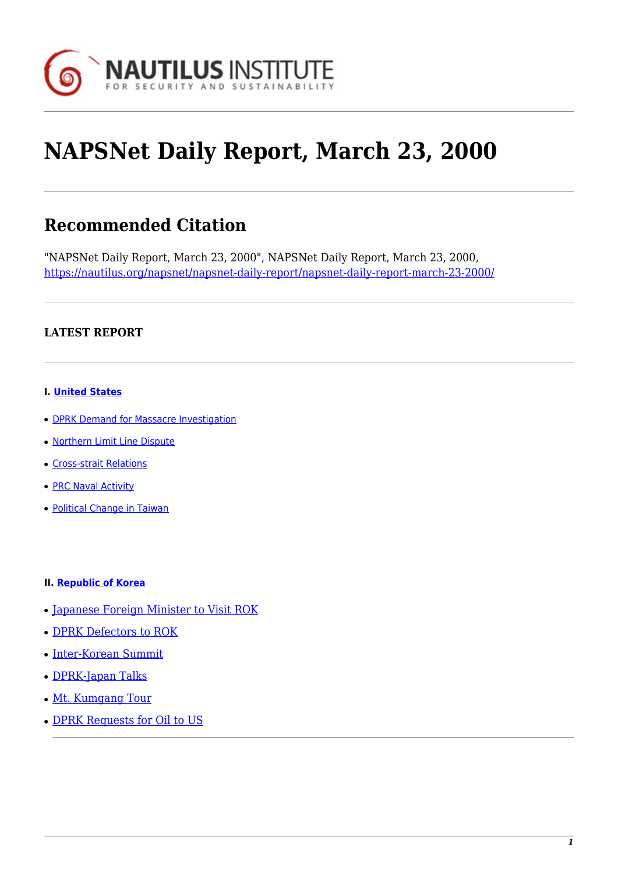

# **NAPSNet Daily Report, March 23, 2000**

# **Recommended Citation**

"NAPSNet Daily Report, March 23, 2000", NAPSNet Daily Report, March 23, 2000, <https://nautilus.org/napsnet/napsnet-daily-report/napsnet-daily-report-march-23-2000/>

# **LATEST REPORT**

#### **I. [United States](https://nautilus.org/?p=45599&preview=true/#A)**

- [DPRK Demand for Massacre Investigation](https://nautilus.org/?p=45599&preview=true/#A1)
- [Northern Limit Line Dispute](https://nautilus.org/?p=45599&preview=true/#A2)
- [Cross-strait Relations](https://nautilus.org/?p=45599&preview=true/#A3)
- **[PRC Naval Activity](https://nautilus.org/?p=45599&preview=true/#A4)**
- [Political Change in Taiwan](https://nautilus.org/?p=45599&preview=true/#A5)

#### **II. [Republic of Korea](https://nautilus.org/?p=45599&preview=true/#B)**

- [Japanese Foreign Minister to Visit ROK](https://nautilus.org/?p=45599&preview=true/#B1)
- [DPRK Defectors to ROK](https://nautilus.org/?p=45599&preview=true/#B2)
- [Inter-Korean Summit](https://nautilus.org/?p=45599&preview=true/#B3)
- [DPRK-Japan Talks](https://nautilus.org/?p=45599&preview=true/#B4)
- [Mt. Kumgang Tour](https://nautilus.org/?p=45599&preview=true/#B5)
- [DPRK Requests for Oil to US](https://nautilus.org/?p=45599&preview=true/#B)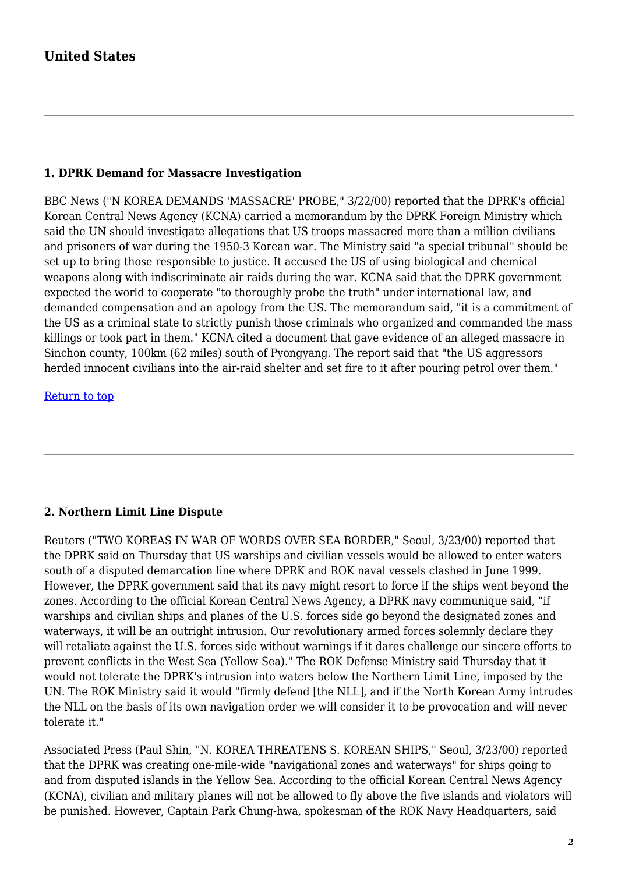# **United States**

# **1. DPRK Demand for Massacre Investigation**

BBC News ("N KOREA DEMANDS 'MASSACRE' PROBE," 3/22/00) reported that the DPRK's official Korean Central News Agency (KCNA) carried a memorandum by the DPRK Foreign Ministry which said the UN should investigate allegations that US troops massacred more than a million civilians and prisoners of war during the 1950-3 Korean war. The Ministry said "a special tribunal" should be set up to bring those responsible to justice. It accused the US of using biological and chemical weapons along with indiscriminate air raids during the war. KCNA said that the DPRK government expected the world to cooperate "to thoroughly probe the truth" under international law, and demanded compensation and an apology from the US. The memorandum said, "it is a commitment of the US as a criminal state to strictly punish those criminals who organized and commanded the mass killings or took part in them." KCNA cited a document that gave evidence of an alleged massacre in Sinchon county, 100km (62 miles) south of Pyongyang. The report said that "the US aggressors herded innocent civilians into the air-raid shelter and set fire to it after pouring petrol over them."

[Return to top](https://nautilus.org/?p=45599&preview=true/#top)

# **2. Northern Limit Line Dispute**

Reuters ("TWO KOREAS IN WAR OF WORDS OVER SEA BORDER," Seoul, 3/23/00) reported that the DPRK said on Thursday that US warships and civilian vessels would be allowed to enter waters south of a disputed demarcation line where DPRK and ROK naval vessels clashed in June 1999. However, the DPRK government said that its navy might resort to force if the ships went beyond the zones. According to the official Korean Central News Agency, a DPRK navy communique said, "if warships and civilian ships and planes of the U.S. forces side go beyond the designated zones and waterways, it will be an outright intrusion. Our revolutionary armed forces solemnly declare they will retaliate against the U.S. forces side without warnings if it dares challenge our sincere efforts to prevent conflicts in the West Sea (Yellow Sea)." The ROK Defense Ministry said Thursday that it would not tolerate the DPRK's intrusion into waters below the Northern Limit Line, imposed by the UN. The ROK Ministry said it would "firmly defend [the NLL], and if the North Korean Army intrudes the NLL on the basis of its own navigation order we will consider it to be provocation and will never tolerate it."

Associated Press (Paul Shin, "N. KOREA THREATENS S. KOREAN SHIPS," Seoul, 3/23/00) reported that the DPRK was creating one-mile-wide "navigational zones and waterways" for ships going to and from disputed islands in the Yellow Sea. According to the official Korean Central News Agency (KCNA), civilian and military planes will not be allowed to fly above the five islands and violators will be punished. However, Captain Park Chung-hwa, spokesman of the ROK Navy Headquarters, said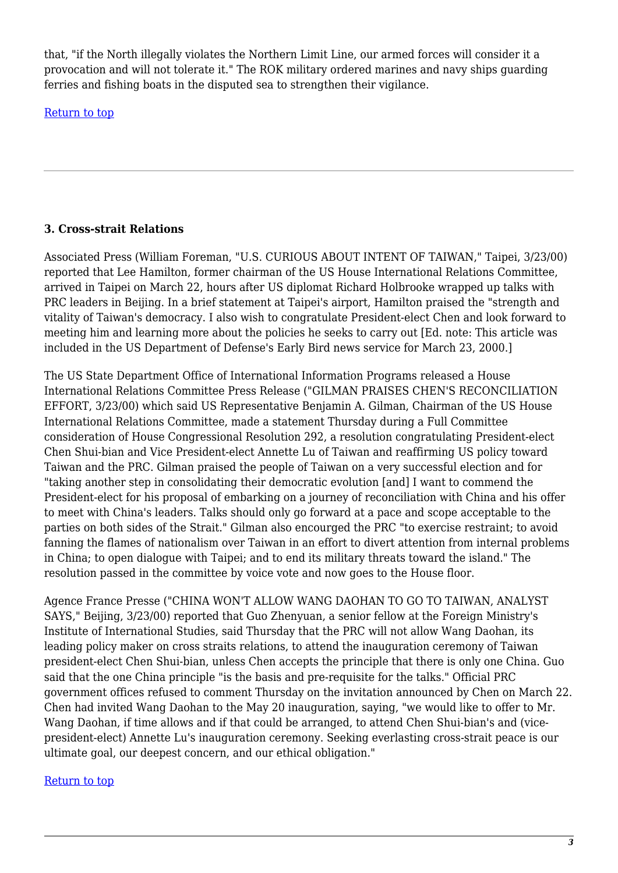that, "if the North illegally violates the Northern Limit Line, our armed forces will consider it a provocation and will not tolerate it." The ROK military ordered marines and navy ships guarding ferries and fishing boats in the disputed sea to strengthen their vigilance.

[Return to top](https://nautilus.org/?p=45599&preview=true/#top)

# **3. Cross-strait Relations**

Associated Press (William Foreman, "U.S. CURIOUS ABOUT INTENT OF TAIWAN," Taipei, 3/23/00) reported that Lee Hamilton, former chairman of the US House International Relations Committee, arrived in Taipei on March 22, hours after US diplomat Richard Holbrooke wrapped up talks with PRC leaders in Beijing. In a brief statement at Taipei's airport, Hamilton praised the "strength and vitality of Taiwan's democracy. I also wish to congratulate President-elect Chen and look forward to meeting him and learning more about the policies he seeks to carry out [Ed. note: This article was included in the US Department of Defense's Early Bird news service for March 23, 2000.]

The US State Department Office of International Information Programs released a House International Relations Committee Press Release ("GILMAN PRAISES CHEN'S RECONCILIATION EFFORT, 3/23/00) which said US Representative Benjamin A. Gilman, Chairman of the US House International Relations Committee, made a statement Thursday during a Full Committee consideration of House Congressional Resolution 292, a resolution congratulating President-elect Chen Shui-bian and Vice President-elect Annette Lu of Taiwan and reaffirming US policy toward Taiwan and the PRC. Gilman praised the people of Taiwan on a very successful election and for "taking another step in consolidating their democratic evolution [and] I want to commend the President-elect for his proposal of embarking on a journey of reconciliation with China and his offer to meet with China's leaders. Talks should only go forward at a pace and scope acceptable to the parties on both sides of the Strait." Gilman also encourged the PRC "to exercise restraint; to avoid fanning the flames of nationalism over Taiwan in an effort to divert attention from internal problems in China; to open dialogue with Taipei; and to end its military threats toward the island." The resolution passed in the committee by voice vote and now goes to the House floor.

Agence France Presse ("CHINA WON'T ALLOW WANG DAOHAN TO GO TO TAIWAN, ANALYST SAYS," Beijing, 3/23/00) reported that Guo Zhenyuan, a senior fellow at the Foreign Ministry's Institute of International Studies, said Thursday that the PRC will not allow Wang Daohan, its leading policy maker on cross straits relations, to attend the inauguration ceremony of Taiwan president-elect Chen Shui-bian, unless Chen accepts the principle that there is only one China. Guo said that the one China principle "is the basis and pre-requisite for the talks." Official PRC government offices refused to comment Thursday on the invitation announced by Chen on March 22. Chen had invited Wang Daohan to the May 20 inauguration, saying, "we would like to offer to Mr. Wang Daohan, if time allows and if that could be arranged, to attend Chen Shui-bian's and (vicepresident-elect) Annette Lu's inauguration ceremony. Seeking everlasting cross-strait peace is our ultimate goal, our deepest concern, and our ethical obligation."

# [Return to top](https://nautilus.org/?p=45599&preview=true/#top)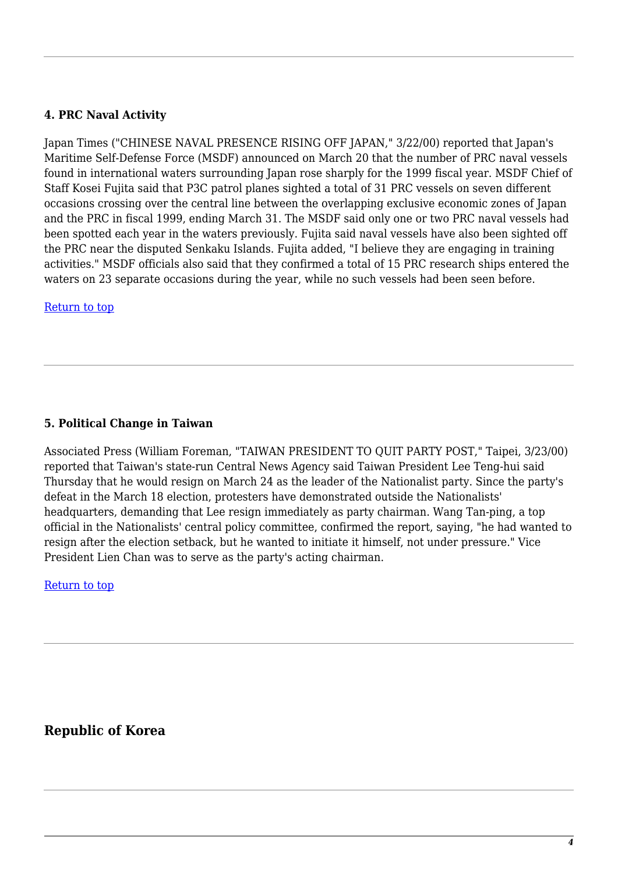# **4. PRC Naval Activity**

Japan Times ("CHINESE NAVAL PRESENCE RISING OFF JAPAN," 3/22/00) reported that Japan's Maritime Self-Defense Force (MSDF) announced on March 20 that the number of PRC naval vessels found in international waters surrounding Japan rose sharply for the 1999 fiscal year. MSDF Chief of Staff Kosei Fujita said that P3C patrol planes sighted a total of 31 PRC vessels on seven different occasions crossing over the central line between the overlapping exclusive economic zones of Japan and the PRC in fiscal 1999, ending March 31. The MSDF said only one or two PRC naval vessels had been spotted each year in the waters previously. Fujita said naval vessels have also been sighted off the PRC near the disputed Senkaku Islands. Fujita added, "I believe they are engaging in training activities." MSDF officials also said that they confirmed a total of 15 PRC research ships entered the waters on 23 separate occasions during the year, while no such vessels had been seen before.

#### [Return to top](https://nautilus.org/?p=45599&preview=true/#top)

#### **5. Political Change in Taiwan**

Associated Press (William Foreman, "TAIWAN PRESIDENT TO QUIT PARTY POST," Taipei, 3/23/00) reported that Taiwan's state-run Central News Agency said Taiwan President Lee Teng-hui said Thursday that he would resign on March 24 as the leader of the Nationalist party. Since the party's defeat in the March 18 election, protesters have demonstrated outside the Nationalists' headquarters, demanding that Lee resign immediately as party chairman. Wang Tan-ping, a top official in the Nationalists' central policy committee, confirmed the report, saying, "he had wanted to resign after the election setback, but he wanted to initiate it himself, not under pressure." Vice President Lien Chan was to serve as the party's acting chairman.

#### [Return to top](https://nautilus.org/?p=45599&preview=true/#top)

# **Republic of Korea**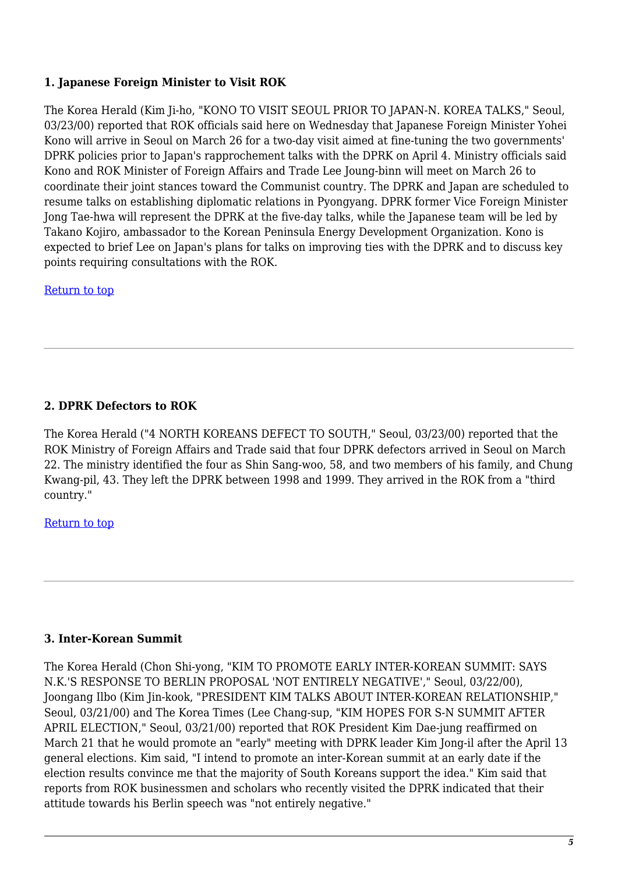# **1. Japanese Foreign Minister to Visit ROK**

The Korea Herald (Kim Ji-ho, "KONO TO VISIT SEOUL PRIOR TO JAPAN-N. KOREA TALKS," Seoul, 03/23/00) reported that ROK officials said here on Wednesday that Japanese Foreign Minister Yohei Kono will arrive in Seoul on March 26 for a two-day visit aimed at fine-tuning the two governments' DPRK policies prior to Japan's rapprochement talks with the DPRK on April 4. Ministry officials said Kono and ROK Minister of Foreign Affairs and Trade Lee Joung-binn will meet on March 26 to coordinate their joint stances toward the Communist country. The DPRK and Japan are scheduled to resume talks on establishing diplomatic relations in Pyongyang. DPRK former Vice Foreign Minister Jong Tae-hwa will represent the DPRK at the five-day talks, while the Japanese team will be led by Takano Kojiro, ambassador to the Korean Peninsula Energy Development Organization. Kono is expected to brief Lee on Japan's plans for talks on improving ties with the DPRK and to discuss key points requiring consultations with the ROK.

[Return to top](https://nautilus.org/?p=45599&preview=true/#top)

# **2. DPRK Defectors to ROK**

The Korea Herald ("4 NORTH KOREANS DEFECT TO SOUTH," Seoul, 03/23/00) reported that the ROK Ministry of Foreign Affairs and Trade said that four DPRK defectors arrived in Seoul on March 22. The ministry identified the four as Shin Sang-woo, 58, and two members of his family, and Chung Kwang-pil, 43. They left the DPRK between 1998 and 1999. They arrived in the ROK from a "third country."

[Return to top](https://nautilus.org/?p=45599&preview=true/#top)

### **3. Inter-Korean Summit**

The Korea Herald (Chon Shi-yong, "KIM TO PROMOTE EARLY INTER-KOREAN SUMMIT: SAYS N.K.'S RESPONSE TO BERLIN PROPOSAL 'NOT ENTIRELY NEGATIVE'," Seoul, 03/22/00), Joongang Ilbo (Kim Jin-kook, "PRESIDENT KIM TALKS ABOUT INTER-KOREAN RELATIONSHIP," Seoul, 03/21/00) and The Korea Times (Lee Chang-sup, "KIM HOPES FOR S-N SUMMIT AFTER APRIL ELECTION," Seoul, 03/21/00) reported that ROK President Kim Dae-jung reaffirmed on March 21 that he would promote an "early" meeting with DPRK leader Kim Jong-il after the April 13 general elections. Kim said, "I intend to promote an inter-Korean summit at an early date if the election results convince me that the majority of South Koreans support the idea." Kim said that reports from ROK businessmen and scholars who recently visited the DPRK indicated that their attitude towards his Berlin speech was "not entirely negative."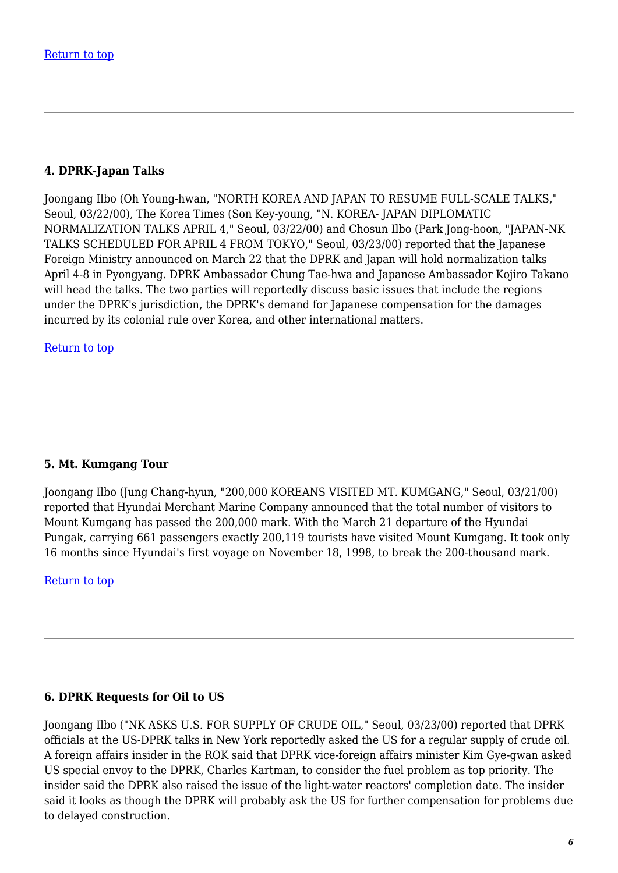# **4. DPRK-Japan Talks**

Joongang Ilbo (Oh Young-hwan, "NORTH KOREA AND JAPAN TO RESUME FULL-SCALE TALKS," Seoul, 03/22/00), The Korea Times (Son Key-young, "N. KOREA- JAPAN DIPLOMATIC NORMALIZATION TALKS APRIL 4," Seoul, 03/22/00) and Chosun Ilbo (Park Jong-hoon, "JAPAN-NK TALKS SCHEDULED FOR APRIL 4 FROM TOKYO," Seoul, 03/23/00) reported that the Japanese Foreign Ministry announced on March 22 that the DPRK and Japan will hold normalization talks April 4-8 in Pyongyang. DPRK Ambassador Chung Tae-hwa and Japanese Ambassador Kojiro Takano will head the talks. The two parties will reportedly discuss basic issues that include the regions under the DPRK's jurisdiction, the DPRK's demand for Japanese compensation for the damages incurred by its colonial rule over Korea, and other international matters.

[Return to top](https://nautilus.org/?p=45599&preview=true/#top)

# **5. Mt. Kumgang Tour**

Joongang Ilbo (Jung Chang-hyun, "200,000 KOREANS VISITED MT. KUMGANG," Seoul, 03/21/00) reported that Hyundai Merchant Marine Company announced that the total number of visitors to Mount Kumgang has passed the 200,000 mark. With the March 21 departure of the Hyundai Pungak, carrying 661 passengers exactly 200,119 tourists have visited Mount Kumgang. It took only 16 months since Hyundai's first voyage on November 18, 1998, to break the 200-thousand mark.

[Return to top](https://nautilus.org/?p=45599&preview=true/#top)

# **6. DPRK Requests for Oil to US**

Joongang Ilbo ("NK ASKS U.S. FOR SUPPLY OF CRUDE OIL," Seoul, 03/23/00) reported that DPRK officials at the US-DPRK talks in New York reportedly asked the US for a regular supply of crude oil. A foreign affairs insider in the ROK said that DPRK vice-foreign affairs minister Kim Gye-gwan asked US special envoy to the DPRK, Charles Kartman, to consider the fuel problem as top priority. The insider said the DPRK also raised the issue of the light-water reactors' completion date. The insider said it looks as though the DPRK will probably ask the US for further compensation for problems due to delayed construction.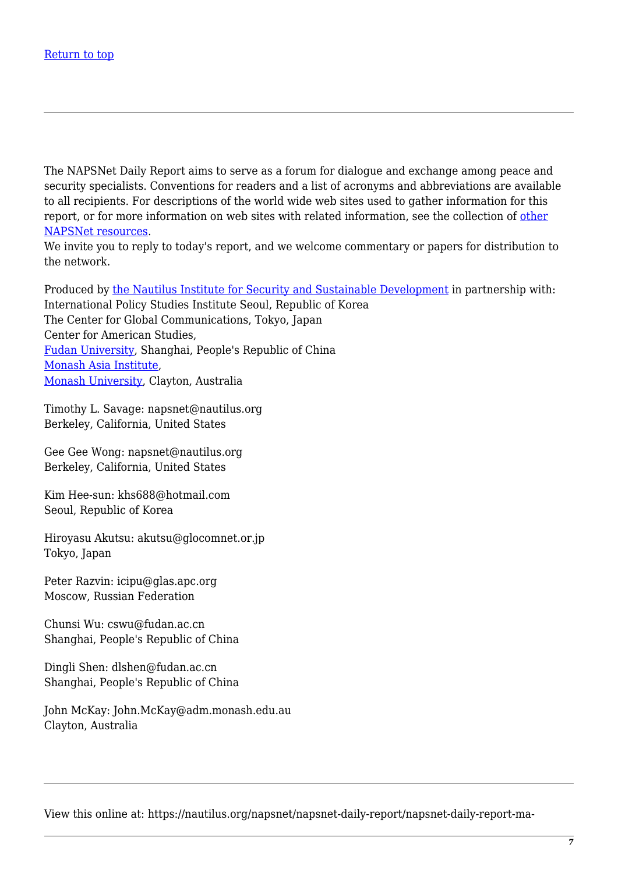The NAPSNet Daily Report aims to serve as a forum for dialogue and exchange among peace and security specialists. Conventions for readers and a list of acronyms and abbreviations are available to all recipients. For descriptions of the world wide web sites used to gather information for this report, or for more information on web sites with related information, see the collection of [other](https://nautilus.org/mailing-lists/napsnet/) [NAPSNet resources.](https://nautilus.org/mailing-lists/napsnet/)

We invite you to reply to today's report, and we welcome commentary or papers for distribution to the network.

Produced by [the Nautilus Institute for Security and Sustainable Development](http://www.nautilus.org/) in partnership with: International Policy Studies Institute Seoul, Republic of Korea The Center for Global Communications, Tokyo, Japan Center for American Studies, [Fudan University](http://www.fudan.edu.cn/), Shanghai, People's Republic of China [Monash Asia Institute,](http://www.adm.monash.edu.au/) [Monash University](http://www.monash.edu.au/), Clayton, Australia

Timothy L. Savage: napsnet@nautilus.org Berkeley, California, United States

Gee Gee Wong: napsnet@nautilus.org Berkeley, California, United States

Kim Hee-sun: khs688@hotmail.com Seoul, Republic of Korea

Hiroyasu Akutsu: akutsu@glocomnet.or.jp Tokyo, Japan

Peter Razvin: icipu@glas.apc.org Moscow, Russian Federation

Chunsi Wu: cswu@fudan.ac.cn Shanghai, People's Republic of China

Dingli Shen: dlshen@fudan.ac.cn Shanghai, People's Republic of China

John McKay: John.McKay@adm.monash.edu.au Clayton, Australia

View this online at: https://nautilus.org/napsnet/napsnet-daily-report/napsnet-daily-report-ma-